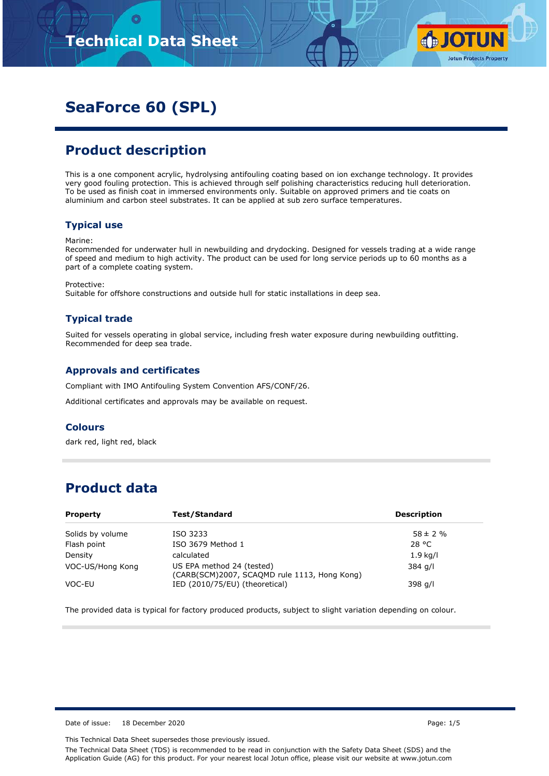

# **SeaForce 60 (SPL)**

### **Product description**

This is a one component acrylic, hydrolysing antifouling coating based on ion exchange technology. It provides very good fouling protection. This is achieved through self polishing characteristics reducing hull deterioration. To be used as finish coat in immersed environments only. Suitable on approved primers and tie coats on aluminium and carbon steel substrates. It can be applied at sub zero surface temperatures.

#### **Typical use**

#### Marine:

Recommended for underwater hull in newbuilding and drydocking. Designed for vessels trading at a wide range of speed and medium to high activity. The product can be used for long service periods up to 60 months as a part of a complete coating system.

Protective:

Suitable for offshore constructions and outside hull for static installations in deep sea.

### **Typical trade**

Suited for vessels operating in global service, including fresh water exposure during newbuilding outfitting. Recommended for deep sea trade.

#### **Approvals and certificates**

Compliant with IMO Antifouling System Convention AFS/CONF/26.

Additional certificates and approvals may be available on request.

#### **Colours**

dark red, light red, black

### **Product data**

| <b>Property</b>  | Test/Standard                                                             | <b>Description</b> |
|------------------|---------------------------------------------------------------------------|--------------------|
| Solids by volume | ISO 3233                                                                  | $58 \pm 2 \%$      |
| Flash point      | ISO 3679 Method 1                                                         | 28 °C              |
| Density          | calculated                                                                | $1.9$ kg/l         |
| VOC-US/Hong Kong | US EPA method 24 (tested)<br>(CARB(SCM)2007, SCAQMD rule 1113, Hong Kong) | 384 g/l            |
| VOC-EU           | IED (2010/75/EU) (theoretical)                                            | 398 g/l            |

The provided data is typical for factory produced products, subject to slight variation depending on colour.

Date of issue: 18 December 2020 **Page: 1/5**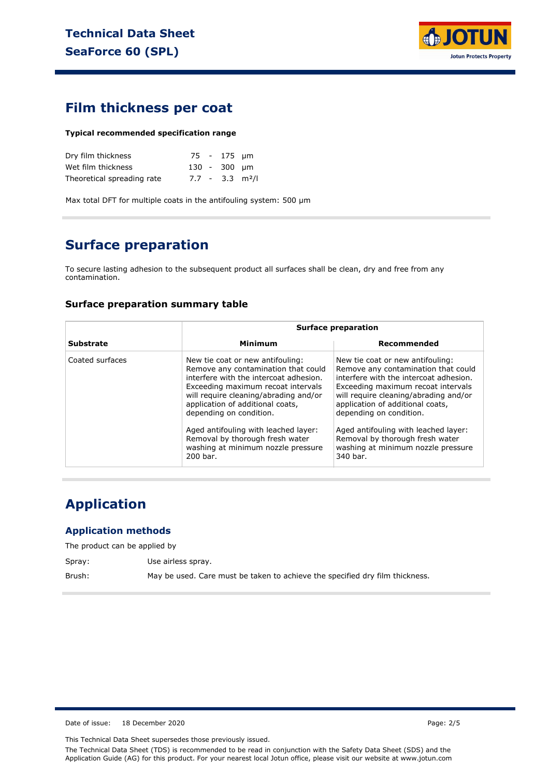

### **Film thickness per coat**

#### **Typical recommended specification range**

| Dry film thickness         |  | 75 - 175 µm  |                               |
|----------------------------|--|--------------|-------------------------------|
| Wet film thickness         |  | 130 - 300 µm |                               |
| Theoretical spreading rate |  |              | $7.7 - 3.3$ m <sup>2</sup> /l |

Max total DFT for multiple coats in the antifouling system: 500 µm

# **Surface preparation**

To secure lasting adhesion to the subsequent product all surfaces shall be clean, dry and free from any contamination.

#### **Surface preparation summary table**

|                  |                                                                                                                                                                                                                                                                                                                                                                                              | <b>Surface preparation</b>                                                                                                                                                                                                                                                                                                                                                                   |  |  |  |
|------------------|----------------------------------------------------------------------------------------------------------------------------------------------------------------------------------------------------------------------------------------------------------------------------------------------------------------------------------------------------------------------------------------------|----------------------------------------------------------------------------------------------------------------------------------------------------------------------------------------------------------------------------------------------------------------------------------------------------------------------------------------------------------------------------------------------|--|--|--|
| <b>Substrate</b> | Minimum                                                                                                                                                                                                                                                                                                                                                                                      | Recommended                                                                                                                                                                                                                                                                                                                                                                                  |  |  |  |
| Coated surfaces  | New tie coat or new antifouling:<br>Remove any contamination that could<br>interfere with the intercoat adhesion.<br>Exceeding maximum recoat intervals<br>will require cleaning/abrading and/or<br>application of additional coats,<br>depending on condition.<br>Aged antifouling with leached layer:<br>Removal by thorough fresh water<br>washing at minimum nozzle pressure<br>200 bar. | New tie coat or new antifouling:<br>Remove any contamination that could<br>interfere with the intercoat adhesion.<br>Exceeding maximum recoat intervals<br>will require cleaning/abrading and/or<br>application of additional coats,<br>depending on condition.<br>Aged antifouling with leached layer:<br>Removal by thorough fresh water<br>washing at minimum nozzle pressure<br>340 bar. |  |  |  |

## **Application**

#### **Application methods**

The product can be applied by

Spray: Use airless spray.

Brush: May be used. Care must be taken to achieve the specified dry film thickness.

Date of issue: 18 December 2020 **Page: 2/5** 

This Technical Data Sheet supersedes those previously issued.

The Technical Data Sheet (TDS) is recommended to be read in conjunction with the Safety Data Sheet (SDS) and the Application Guide (AG) for this product. For your nearest local Jotun office, please visit our website at www.jotun.com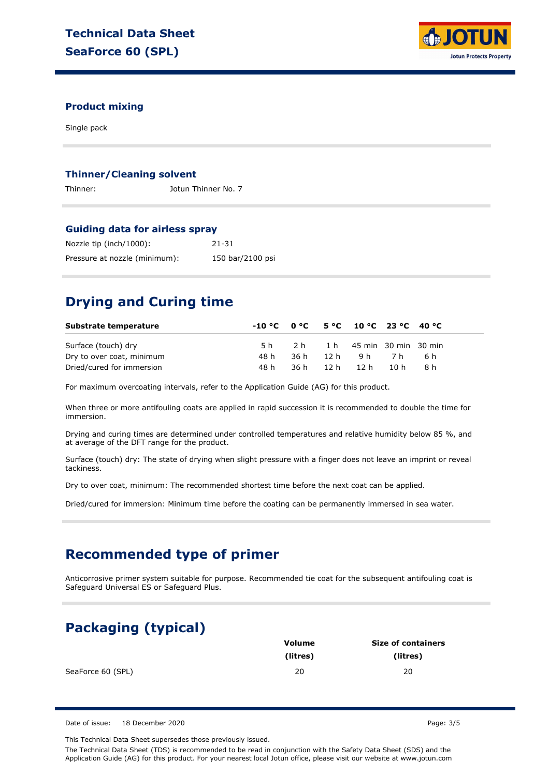

#### **Product mixing**

Single pack

#### **Thinner/Cleaning solvent**

Thinner: Jotun Thinner No. 7

#### **Guiding data for airless spray**

| Nozzle tip (inch/1000):       | 21-31            |
|-------------------------------|------------------|
| Pressure at nozzle (minimum): | 150 bar/2100 psi |

### **Drying and Curing time**

| Substrate temperature     | $-10\degree$ C $0\degree$ C $5\degree$ C $10\degree$ C $23\degree$ C $40\degree$ C |      |                          |       |      |  |
|---------------------------|------------------------------------------------------------------------------------|------|--------------------------|-------|------|--|
| Surface (touch) dry       | 5 h                                                                                | 2 h  | 1 h 45 min 30 min 30 min |       |      |  |
| Dry to over coat, minimum | 48 h                                                                               | 36 h | 12 h9h                   | - 7 h | .6 h |  |
| Dried/cured for immersion | 48 h                                                                               |      | 36h 12h 12h              | 10 h  | R h  |  |

For maximum overcoating intervals, refer to the Application Guide (AG) for this product.

When three or more antifouling coats are applied in rapid succession it is recommended to double the time for immersion.

Drying and curing times are determined under controlled temperatures and relative humidity below 85 %, and at average of the DFT range for the product.

Surface (touch) dry: The state of drying when slight pressure with a finger does not leave an imprint or reveal tackiness.

Dry to over coat, minimum: The recommended shortest time before the next coat can be applied.

Dried/cured for immersion: Minimum time before the coating can be permanently immersed in sea water.

### **Recommended type of primer**

Anticorrosive primer system suitable for purpose. Recommended tie coat for the subsequent antifouling coat is Safeguard Universal ES or Safeguard Plus.

### **Packaging (typical)**

|                   | Volume   | <b>Size of containers</b> |
|-------------------|----------|---------------------------|
|                   | (litres) | (litres)                  |
| SeaForce 60 (SPL) | 20       | 20                        |

Date of issue: 18 December 2020 **Page: 3/5** 

This Technical Data Sheet supersedes those previously issued. The Technical Data Sheet (TDS) is recommended to be read in conjunction with the Safety Data Sheet (SDS) and the Application Guide (AG) for this product. For your nearest local Jotun office, please visit our website at www.jotun.com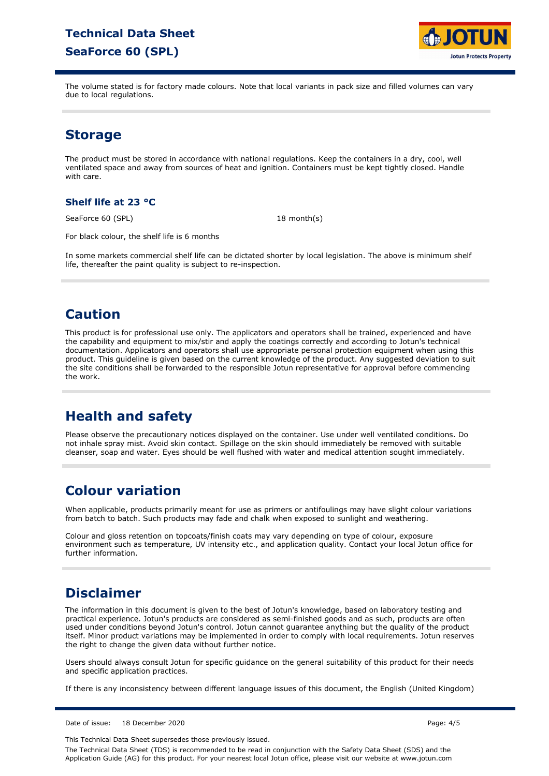## **Technical Data Sheet SeaForce 60 (SPL)**



The volume stated is for factory made colours. Note that local variants in pack size and filled volumes can vary due to local regulations.

### **Storage**

The product must be stored in accordance with national regulations. Keep the containers in a dry, cool, well ventilated space and away from sources of heat and ignition. Containers must be kept tightly closed. Handle with care.

### **Shelf life at 23 °C**

SeaForce 60 (SPL)

 $18$  month(s)

For black colour, the shelf life is 6 months

In some markets commercial shelf life can be dictated shorter by local legislation. The above is minimum shelf life, thereafter the paint quality is subject to re-inspection.

### **Caution**

This product is for professional use only. The applicators and operators shall be trained, experienced and have the capability and equipment to mix/stir and apply the coatings correctly and according to Jotun's technical documentation. Applicators and operators shall use appropriate personal protection equipment when using this product. This guideline is given based on the current knowledge of the product. Any suggested deviation to suit the site conditions shall be forwarded to the responsible Jotun representative for approval before commencing the work.

# **Health and safety**

Please observe the precautionary notices displayed on the container. Use under well ventilated conditions. Do not inhale spray mist. Avoid skin contact. Spillage on the skin should immediately be removed with suitable cleanser, soap and water. Eyes should be well flushed with water and medical attention sought immediately.

### **Colour variation**

When applicable, products primarily meant for use as primers or antifoulings may have slight colour variations from batch to batch. Such products may fade and chalk when exposed to sunlight and weathering.

Colour and gloss retention on topcoats/finish coats may vary depending on type of colour, exposure environment such as temperature, UV intensity etc., and application quality. Contact your local Jotun office for further information.

### **Disclaimer**

The information in this document is given to the best of Jotun's knowledge, based on laboratory testing and practical experience. Jotun's products are considered as semi-finished goods and as such, products are often used under conditions beyond Jotun's control. Jotun cannot guarantee anything but the quality of the product itself. Minor product variations may be implemented in order to comply with local requirements. Jotun reserves the right to change the given data without further notice.

Users should always consult Jotun for specific guidance on the general suitability of this product for their needs and specific application practices.

If there is any inconsistency between different language issues of this document, the English (United Kingdom)

Date of issue: 18 December 2020 Page: 4/5

This Technical Data Sheet supersedes those previously issued.

The Technical Data Sheet (TDS) is recommended to be read in conjunction with the Safety Data Sheet (SDS) and the Application Guide (AG) for this product. For your nearest local Jotun office, please visit our website at www.jotun.com